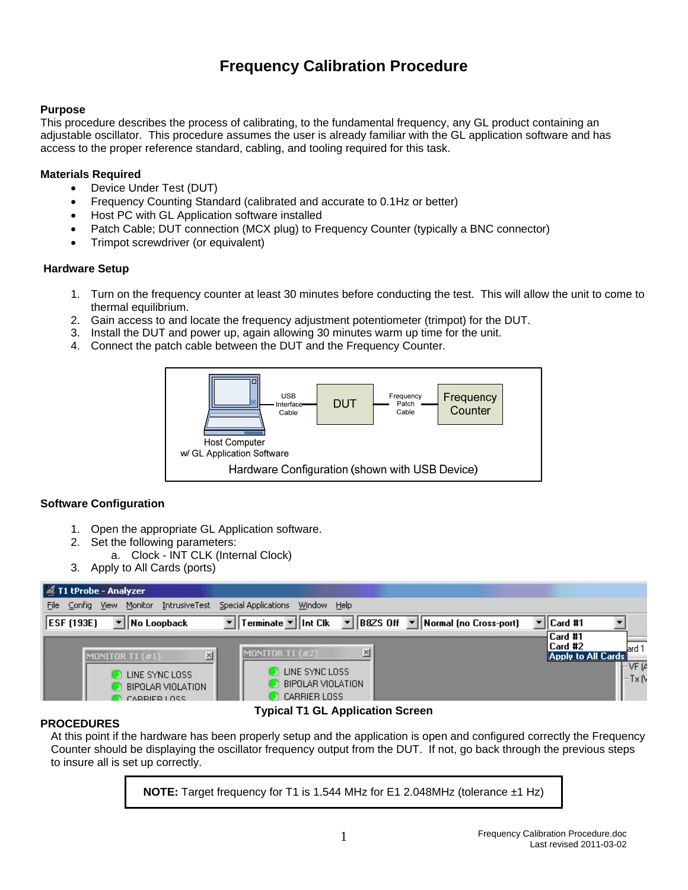# **Frequency Calibration Procedure**

### **Purpose**

This procedure describes the process of calibrating, to the fundamental frequency, any GL product containing an adjustable oscillator. This procedure assumes the user is already familiar with the GL application software and has access to the proper reference standard, cabling, and tooling required for this task.

## **Materials Required**

- Device Under Test (DUT)
- Frequency Counting Standard (calibrated and accurate to 0.1Hz or better)
- Host PC with GL Application software installed
- Patch Cable; DUT connection (MCX plug) to Frequency Counter (typically a BNC connector)
- Trimpot screwdriver (or equivalent)

### **Hardware Setup**

- 1. Turn on the frequency counter at least 30 minutes before conducting the test. This will allow the unit to come to thermal equilibrium.
- 2. Gain access to and locate the frequency adjustment potentiometer (trimpot) for the DUT.
- 3. Install the DUT and power up, again allowing 30 minutes warm up time for the unit.
- 4. Connect the patch cable between the DUT and the Frequency Counter.



### **Software Configuration**

- 1. Open the appropriate GL Application software.
- 2. Set the following parameters:
	- a. Clock INT CLK (Internal Clock)
- 3. Apply to All Cards (ports)



### **PROCEDURES**

**Typical T1 GL Application Screen** 

At this point if the hardware has been properly setup and the application is open and configured correctly the Frequency Counter should be displaying the oscillator frequency output from the DUT. If not, go back through the previous steps to insure all is set up correctly.

**NOTE:** Target frequency for T1 is 1.544 MHz for E1 2.048MHz (tolerance ±1 Hz)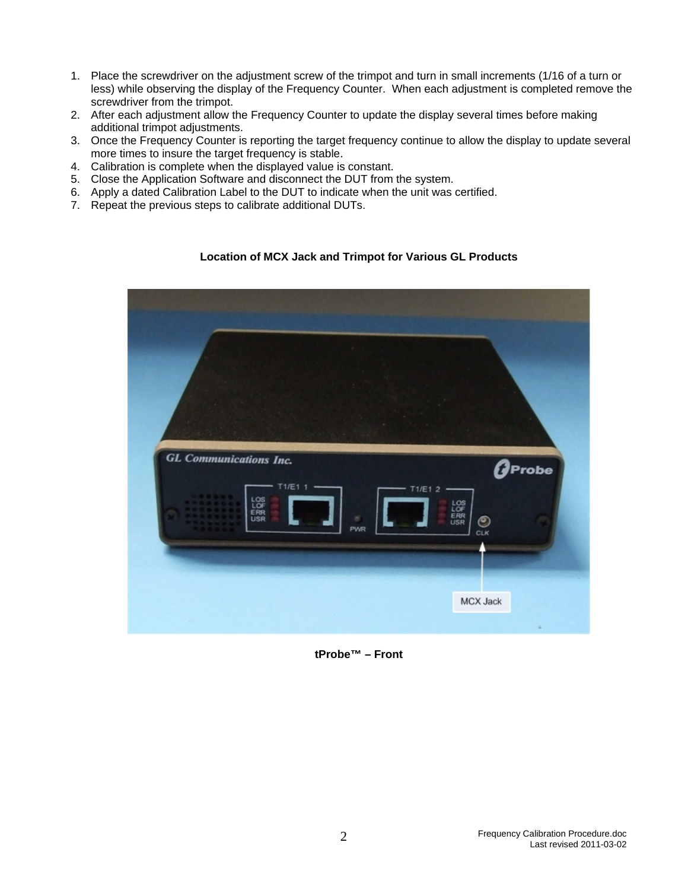- 1. Place the screwdriver on the adjustment screw of the trimpot and turn in small increments (1/16 of a turn or less) while observing the display of the Frequency Counter. When each adjustment is completed remove the screwdriver from the trimpot.
- 2. After each adjustment allow the Frequency Counter to update the display several times before making additional trimpot adjustments.
- 3. Once the Frequency Counter is reporting the target frequency continue to allow the display to update several more times to insure the target frequency is stable.
- 4. Calibration is complete when the displayed value is constant.
- 5. Close the Application Software and disconnect the DUT from the system.
- 6. Apply a dated Calibration Label to the DUT to indicate when the unit was certified.
- 7. Repeat the previous steps to calibrate additional DUTs.

#### **Location of MCX Jack and Trimpot for Various GL Products**



**tProbe™ – Front**